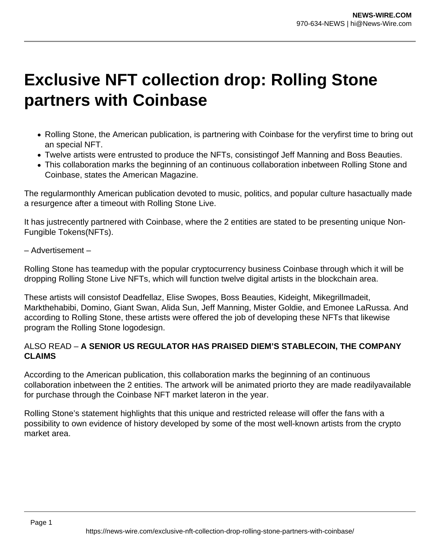## **Exclusive NFT collection drop: Rolling Stone partners with Coinbase**

- Rolling Stone, the American publication, is partnering with Coinbase for the veryfirst time to bring out an special NFT.
- Twelve artists were entrusted to produce the NFTs, consistingof Jeff Manning and Boss Beauties.
- This collaboration marks the beginning of an continuous collaboration inbetween Rolling Stone and Coinbase, states the American Magazine.

The regularmonthly American publication devoted to music, politics, and popular culture hasactually made a resurgence after a timeout with Rolling Stone Live.

It has justrecently partnered with Coinbase, where the 2 entities are stated to be presenting unique Non-Fungible Tokens(NFTs).

– Advertisement –

Rolling Stone has teamedup with the popular cryptocurrency business Coinbase through which it will be dropping Rolling Stone Live NFTs, which will function twelve digital artists in the blockchain area.

These artists will consistof Deadfellaz, Elise Swopes, Boss Beauties, Kideight, Mikegrillmadeit, Markthehabibi, Domino, Giant Swan, Alida Sun, Jeff Manning, Mister Goldie, and Emonee LaRussa. And according to Rolling Stone, these artists were offered the job of developing these NFTs that likewise program the Rolling Stone logodesign.

## ALSO READ – **A SENIOR US REGULATOR HAS PRAISED DIEM'S STABLECOIN, THE COMPANY CLAIMS**

According to the American publication, this collaboration marks the beginning of an continuous collaboration inbetween the 2 entities. The artwork will be animated priorto they are made readilyavailable for purchase through the Coinbase NFT market lateron in the year.

Rolling Stone's statement highlights that this unique and restricted release will offer the fans with a possibility to own evidence of history developed by some of the most well-known artists from the crypto market area.